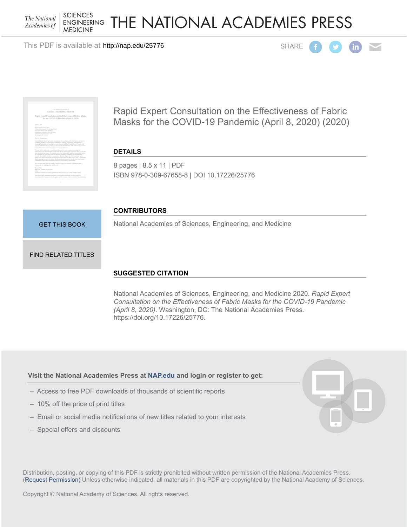**SCIENCES** The National **ENGINEERING** Academies of **MEDICINE** 

THE NATIONAL ACADEMIES PRESS

This PDF is available at http://nap.edu/25776 SHARE





Rapid Expert Consultation on the Effectiveness of Fabric Masks for the COVID-19 Pandemic (April 8, 2020) (2020)

# **DETAILS**

8 pages | 8.5 x 11 | PDF ISBN 978-0-309-67658-8 | DOI 10.17226/25776

#### **CONTRIBUTORS**

[GET THIS BOOK](http://cart.nap.edu/cart/cart.cgi?list=fs&action=buy%20it&record_id=25776&isbn=978-0-309-67658-8&quantity=1)

National Academies of Sciences, Engineering, and Medicine

#### [FIND RELATED TITLES](http://www.nap.edu/related.php?record_id=25776)

# **SUGGESTED CITATION**

National Academies of Sciences, Engineering, and Medicine 2020. *Rapid Expert Consultation on the Effectiveness of Fabric Masks for the COVID-19 Pandemic (April 8, 2020)*. Washington, DC: The National Academies Press. https://doi.org/10.17226/25776.

#### **Visit the National Academies Press at [NAP.edu](http://nap.edu) and login or register to get:**

- Access to free PDF downloads of thousands of scientific reports
- 10% off the price of print titles
- Email or social media notifications of new titles related to your interests
- Special offers and discounts



Distribution, posting, or copying of this PDF is strictly prohibited without written permission of the National Academies Press. [\(Request Permission](http://www.nap.edu/reprint_permission.html)) Unless otherwise indicated, all materials in this PDF are copyrighted by the National Academy of Sciences.

Copyright © National Academy of Sciences. All rights reserved.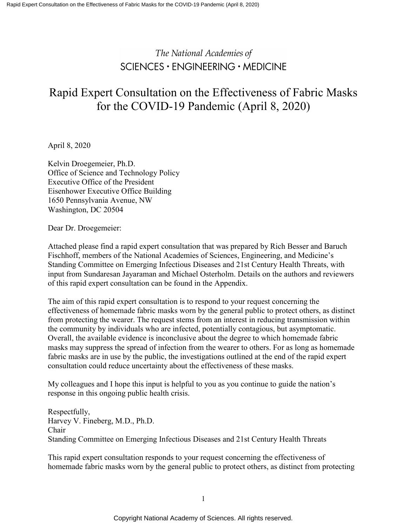# The National Academies of SCIENCES · ENGINEERING · MEDICINE

# Rapid Expert Consultation on the Effectiveness of Fabric Masks for the COVID-19 Pandemic (April 8, 2020)

April 8, 2020

Kelvin Droegemeier, Ph.D. Office of Science and Technology Policy Executive Office of the President Eisenhower Executive Office Building 1650 Pennsylvania Avenue, NW Washington, DC 20504

Dear Dr. Droegemeier:

Attached please find a rapid expert consultation that was prepared by Rich Besser and Baruch Fischhoff, members of the National Academies of Sciences, Engineering, and Medicine's Standing Committee on Emerging Infectious Diseases and 21st Century Health Threats, with input from Sundaresan Jayaraman and Michael Osterholm. Details on the authors and reviewers of this rapid expert consultation can be found in the Appendix.

The aim of this rapid expert consultation is to respond to your request concerning the effectiveness of homemade fabric masks worn by the general public to protect others, as distinct from protecting the wearer. The request stems from an interest in reducing transmission within the community by individuals who are infected, potentially contagious, but asymptomatic. Overall, the available evidence is inconclusive about the degree to which homemade fabric masks may suppress the spread of infection from the wearer to others. For as long as homemade fabric masks are in use by the public, the investigations outlined at the end of the rapid expert consultation could reduce uncertainty about the effectiveness of these masks.

My colleagues and I hope this input is helpful to you as you continue to guide the nation's response in this ongoing public health crisis.

Respectfully, Harvey V. Fineberg, M.D., Ph.D. Chair Standing Committee on Emerging Infectious Diseases and 21st Century Health Threats

This rapid expert consultation responds to your request concerning the effectiveness of homemade fabric masks worn by the general public to protect others, as distinct from protecting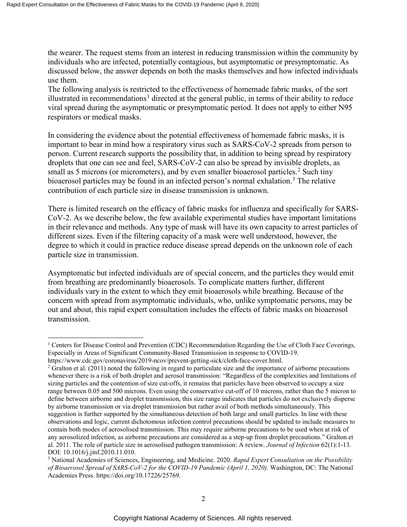the wearer. The request stems from an interest in reducing transmission within the community by individuals who are infected, potentially contagious, but asymptomatic or presymptomatic. As discussed below, the answer depends on both the masks themselves and how infected individuals use them.

The following analysis is restricted to the effectiveness of homemade fabric masks, of the sort illustrated in recommendations<sup>[1](#page-2-0)</sup> directed at the general public, in terms of their ability to reduce viral spread during the asymptomatic or presymptomatic period. It does not apply to either N95 respirators or medical masks.

In considering the evidence about the potential effectiveness of homemade fabric masks, it is important to bear in mind how a respiratory virus such as SARS-CoV-2 spreads from person to person. Current research supports the possibility that, in addition to being spread by respiratory droplets that one can see and feel, SARS-CoV-2 can also be spread by invisible droplets, as small as 5 microns (or micrometers), and by even smaller bioaerosol particles.<sup>[2](#page-2-1)</sup> Such tiny bioaerosol particles may be found in an infected person's normal exhalation.<sup>[3](#page-2-2)</sup> The relative contribution of each particle size in disease transmission is unknown.

There is limited research on the efficacy of fabric masks for influenza and specifically for SARS-CoV-2. As we describe below, the few available experimental studies have important limitations in their relevance and methods. Any type of mask will have its own capacity to arrest particles of different sizes. Even if the filtering capacity of a mask were well understood, however, the degree to which it could in practice reduce disease spread depends on the unknown role of each particle size in transmission.

Asymptomatic but infected individuals are of special concern, and the particles they would emit from breathing are predominantly bioaerosols. To complicate matters further, different individuals vary in the extent to which they emit bioaerosols while breathing. Because of the concern with spread from asymptomatic individuals, who, unlike symptomatic persons, may be out and about, this rapid expert consultation includes the effects of fabric masks on bioaerosol transmission.

 $\overline{a}$ 

<span id="page-2-0"></span><sup>1</sup> Centers for Disease Control and Prevention (CDC) Recommendation Regarding the Use of Cloth Face Coverings, Especially in Areas of Significant Community-Based Transmission in response to COVID-19.

https://www.cdc.gov/coronavirus/2019-ncov/prevent-getting-sick/cloth-face-cover.html.

<span id="page-2-1"></span><sup>&</sup>lt;sup>2</sup> Gralton et al. (2011) noted the following in regard to particulate size and the importance of airborne precautions whenever there is a risk of both droplet and aerosol transmission: "Regardless of the complexities and limitations of sizing particles and the contention of size cut-offs, it remains that particles have been observed to occupy a size range between 0.05 and 500 microns. Even using the conservative cut-off of 10 microns, rather than the 5 micron to define between airborne and droplet transmission, this size range indicates that particles do not exclusively disperse by airborne transmission or via droplet transmission but rather avail of both methods simultaneously. This suggestion is further supported by the simultaneous detection of both large and small particles. In line with these observations and logic, current dichotomous infection control precautions should be updated to include measures to contain both modes of aerosolised transmission. This may require airborne precautions to be used when at risk of any aerosolized infection, as airborne precautions are considered as a step-up from droplet precautions." Gralton et al. 2011. The role of particle size in aerosolised pathogen transmission: A review. *Journal of Infection* 62(1):1-13. DOI: 10.1016/j.jinf.2010.11.010.

<span id="page-2-2"></span><sup>3</sup> National Academies of Sciences, Engineering, and Medicine. 2020. *Rapid Expert Consultation on the Possibility of Bioaerosol Spread of SARS-CoV-2 for the COVID-19 Pandemic (April 1, 2020).* Washington, DC: The National Academies Press. https://doi.org/10.17226/25769.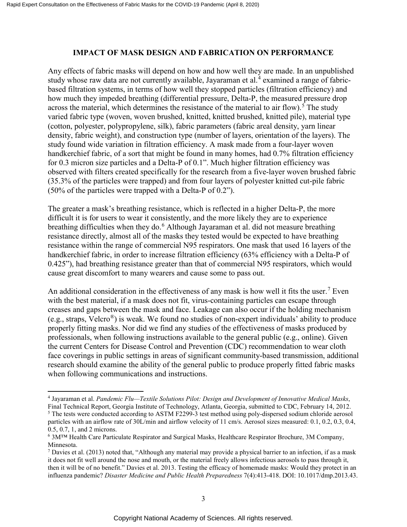# **IMPACT OF MASK DESIGN AND FABRICATION ON PERFORMANCE**

Any effects of fabric masks will depend on how and how well they are made. In an unpublished study whose raw data are not currently available, Jayaraman et al.<sup>[4](#page-3-0)</sup> examined a range of fabricbased filtration systems, in terms of how well they stopped particles (filtration efficiency) and how much they impeded breathing (differential pressure, Delta-P, the measured pressure drop across the material, which determines the resistance of the material to air flow).<sup>[5](#page-3-1)</sup> The study varied fabric type (woven, woven brushed, knitted, knitted brushed, knitted pile), material type (cotton, polyester, polypropylene, silk), fabric parameters (fabric areal density, yarn linear density, fabric weight), and construction type (number of layers, orientation of the layers). The study found wide variation in filtration efficiency. A mask made from a four-layer woven handkerchief fabric, of a sort that might be found in many homes, had 0.7% filtration efficiency for 0.3 micron size particles and a Delta-P of 0.1". Much higher filtration efficiency was observed with filters created specifically for the research from a five-layer woven brushed fabric (35.3% of the particles were trapped) and from four layers of polyester knitted cut-pile fabric (50% of the particles were trapped with a Delta-P of 0.2").

The greater a mask's breathing resistance, which is reflected in a higher Delta-P, the more difficult it is for users to wear it consistently, and the more likely they are to experience breathing difficulties when they do.<sup>[6](#page-3-2)</sup> Although Jayaraman et al. did not measure breathing resistance directly, almost all of the masks they tested would be expected to have breathing resistance within the range of commercial N95 respirators. One mask that used 16 layers of the handkerchief fabric, in order to increase filtration efficiency (63% efficiency with a Delta-P of 0.425"), had breathing resistance greater than that of commercial N95 respirators, which would cause great discomfort to many wearers and cause some to pass out.

An additional consideration in the effectiveness of any mask is how well it fits the user.<sup>[7](#page-3-3)</sup> Even with the best material, if a mask does not fit, virus-containing particles can escape through creases and gaps between the mask and face. Leakage can also occur if the holding mechanism (e.g., straps, Velcro®) is weak. We found no studies of non-expert individuals' ability to produce properly fitting masks. Nor did we find any studies of the effectiveness of masks produced by professionals, when following instructions available to the general public (e.g., online). Given the current Centers for Disease Control and Prevention (CDC) recommendation to wear cloth face coverings in public settings in areas of significant community-based transmission, additional research should examine the ability of the general public to produce properly fitted fabric masks when following communications and instructions.

 $\overline{\phantom{a}}$ 

<span id="page-3-0"></span><sup>4</sup> Jayaraman et al. *Pandemic Flu—Textile Solutions Pilot: Design and Development of Innovative Medical Masks*, Final Technical Report, Georgia Institute of Technology, Atlanta, Georgia, submitted to CDC, February 14, 2012.

<span id="page-3-1"></span><sup>&</sup>lt;sup>5</sup> The tests were conducted according to ASTM F2299-3 test method using poly-dispersed sodium chloride aerosol particles with an airflow rate of 30L/min and airflow velocity of 11 cm/s. Aerosol sizes measured: 0.1, 0.2, 0.3, 0.4, 0.5, 0.7, 1, and 2 microns.

<span id="page-3-2"></span><sup>6</sup> 3M™ Health Care Particulate Respirator and Surgical Masks, Healthcare Respirator Brochure, 3M Company, Minnesota.

<span id="page-3-3"></span><sup>&</sup>lt;sup>7</sup> Davies et al. (2013) noted that, "Although any material may provide a physical barrier to an infection, if as a mask it does not fit well around the nose and mouth, or the material freely allows infectious aerosols to pass through it, then it will be of no benefit." Davies et al. 2013. Testing the efficacy of homemade masks: Would they protect in an influenza pandemic? *Disaster Medicine and Public Health Preparedness* 7(4):413-418. DOI: 10.1017/dmp.2013.43.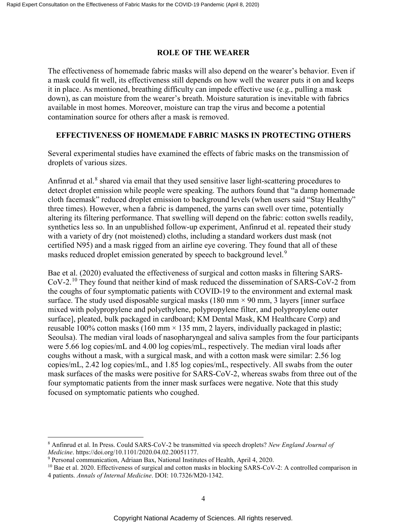#### **ROLE OF THE WEARER**

The effectiveness of homemade fabric masks will also depend on the wearer's behavior. Even if a mask could fit well, its effectiveness still depends on how well the wearer puts it on and keeps it in place. As mentioned, breathing difficulty can impede effective use (e.g., pulling a mask down), as can moisture from the wearer's breath. Moisture saturation is inevitable with fabrics available in most homes. Moreover, moisture can trap the virus and become a potential contamination source for others after a mask is removed.

# **EFFECTIVENESS OF HOMEMADE FABRIC MASKS IN PROTECTING OTHERS**

Several experimental studies have examined the effects of fabric masks on the transmission of droplets of various sizes.

Anfinrud et al. $8$  shared via email that they used sensitive laser light-scattering procedures to detect droplet emission while people were speaking. The authors found that "a damp homemade cloth facemask" reduced droplet emission to background levels (when users said "Stay Healthy" three times). However, when a fabric is dampened, the yarns can swell over time, potentially altering its filtering performance. That swelling will depend on the fabric: cotton swells readily, synthetics less so. In an unpublished follow-up experiment, Anfinrud et al. repeated their study with a variety of dry (not moistened) cloths, including a standard workers dust mask (not certified N95) and a mask rigged from an airline eye covering. They found that all of these masks reduced droplet emission generated by speech to background level.<sup>[9](#page-4-1)</sup>

Bae et al. (2020) evaluated the effectiveness of surgical and cotton masks in filtering SARS-CoV-2.[10](#page-4-2) They found that neither kind of mask reduced the dissemination of SARS-CoV-2 from the coughs of four symptomatic patients with COVID-19 to the environment and external mask surface. The study used disposable surgical masks (180 mm  $\times$  90 mm, 3 layers [inner surface] mixed with polypropylene and polyethylene, polypropylene filter, and polypropylene outer surface], pleated, bulk packaged in cardboard; KM Dental Mask, KM Healthcare Corp) and reusable 100% cotton masks (160 mm  $\times$  135 mm, 2 layers, individually packaged in plastic; Seoulsa). The median viral loads of nasopharyngeal and saliva samples from the four participants were 5.66 log copies/mL and 4.00 log copies/mL, respectively. The median viral loads after coughs without a mask, with a surgical mask, and with a cotton mask were similar: 2.56 log copies/mL, 2.42 log copies/mL, and 1.85 log copies/mL, respectively. All swabs from the outer mask surfaces of the masks were positive for SARS-CoV-2, whereas swabs from three out of the four symptomatic patients from the inner mask surfaces were negative. Note that this study focused on symptomatic patients who coughed.

 $\overline{\phantom{a}}$ 

<span id="page-4-0"></span><sup>8</sup> Anfinrud et al. In Press. Could SARS-CoV-2 be transmitted via speech droplets? *New England Journal of Medicine*. https://doi.org/10.1101/2020.04.02.20051177.

<span id="page-4-1"></span><sup>9</sup> Personal communication, Adriaan Bax, National Institutes of Health, April 4, 2020.

<span id="page-4-2"></span> $^{10}$  Bae et al. 2020. Effectiveness of surgical and cotton masks in blocking SARS-CoV-2: A controlled comparison in 4 patients. *Annals of Internal Medicine*. DOI: 10.7326/M20-1342.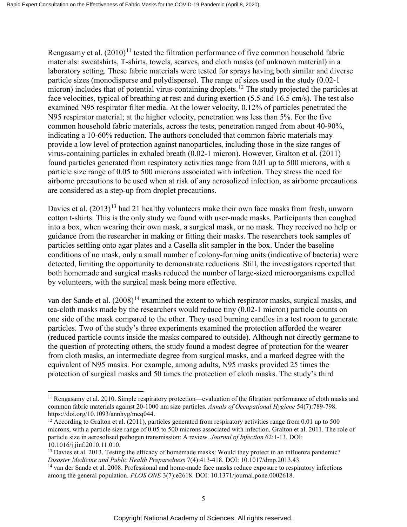Rengasamy et al.  $(2010)^{11}$  $(2010)^{11}$  $(2010)^{11}$  tested the filtration performance of five common household fabric materials: sweatshirts, T-shirts, towels, scarves, and cloth masks (of unknown material) in a laboratory setting. These fabric materials were tested for sprays having both similar and diverse particle sizes (monodisperse and polydisperse). The range of sizes used in the study (0.02-1 micron) includes that of potential virus-containing droplets.<sup>[12](#page-5-1)</sup> The study projected the particles at face velocities, typical of breathing at rest and during exertion (5.5 and 16.5 cm/s). The test also examined N95 respirator filter media. At the lower velocity, 0.12% of particles penetrated the N95 respirator material; at the higher velocity, penetration was less than 5%. For the five common household fabric materials, across the tests, penetration ranged from about 40-90%, indicating a 10-60% reduction. The authors concluded that common fabric materials may provide a low level of protection against nanoparticles, including those in the size ranges of virus-containing particles in exhaled breath (0.02-1 micron). However, Gralton et al. (2011) found particles generated from respiratory activities range from 0.01 up to 500 microns, with a particle size range of 0.05 to 500 microns associated with infection. They stress the need for airborne precautions to be used when at risk of any aerosolized infection, as airborne precautions are considered as a step-up from droplet precautions.

Davies et al.  $(2013)^{13}$  $(2013)^{13}$  $(2013)^{13}$  had 21 healthy volunteers make their own face masks from fresh, unworn cotton t-shirts. This is the only study we found with user-made masks. Participants then coughed into a box, when wearing their own mask, a surgical mask, or no mask. They received no help or guidance from the researcher in making or fitting their masks. The researchers took samples of particles settling onto agar plates and a Casella slit sampler in the box. Under the baseline conditions of no mask, only a small number of colony-forming units (indicative of bacteria) were detected, limiting the opportunity to demonstrate reductions. Still, the investigators reported that both homemade and surgical masks reduced the number of large-sized microorganisms expelled by volunteers, with the surgical mask being more effective.

van der Sande et al. (2008)<sup>[14](#page-5-3)</sup> examined the extent to which respirator masks, surgical masks, and tea-cloth masks made by the researchers would reduce tiny (0.02-1 micron) particle counts on one side of the mask compared to the other. They used burning candles in a test room to generate particles. Two of the study's three experiments examined the protection afforded the wearer (reduced particle counts inside the masks compared to outside). Although not directly germane to the question of protecting others, the study found a modest degree of protection for the wearer from cloth masks, an intermediate degree from surgical masks, and a marked degree with the equivalent of N95 masks. For example, among adults, N95 masks provided 25 times the protection of surgical masks and 50 times the protection of cloth masks. The study's third

 $\overline{\phantom{a}}$ 

<span id="page-5-0"></span><sup>&</sup>lt;sup>11</sup> Rengasamy et al. 2010. Simple respiratory protection—evaluation of the filtration performance of cloth masks and common fabric materials against 20-1000 nm size particles. *Annals of Occupational Hygiene* 54(7):789-798. https://doi.org/10.1093/annhyg/meq044.

<span id="page-5-1"></span><sup>&</sup>lt;sup>12</sup> According to Gralton et al. (2011), particles generated from respiratory activities range from 0.01 up to 500 microns, with a particle size range of 0.05 to 500 microns associated with infection. Gralton et al. 2011. The role of particle size in aerosolised pathogen transmission: A review. *Journal of Infection* 62:1-13. DOI: 10.1016/j.jinf.2010.11.010.

<span id="page-5-2"></span><sup>&</sup>lt;sup>13</sup> Davies et al. 2013. Testing the efficacy of homemade masks: Would they protect in an influenza pandemic? *Disaster Medicine and Public Health Preparedness* 7(4):413-418. DOI: 10.1017/dmp.2013.43.

<span id="page-5-3"></span><sup>14</sup> van der Sande et al. 2008. Professional and home-made face masks reduce exposure to respiratory infections among the general population. *PLOS ONE* 3(7):e2618. DOI: 10.1371/journal.pone.0002618.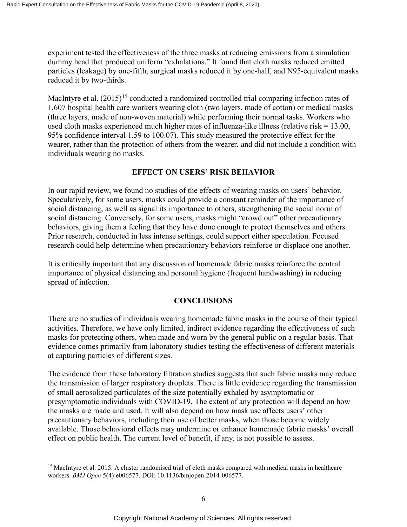experiment tested the effectiveness of the three masks at reducing emissions from a simulation dummy head that produced uniform "exhalations." It found that cloth masks reduced emitted particles (leakage) by one-fifth, surgical masks reduced it by one-half, and N95-equivalent masks reduced it by two-thirds.

MacIntyre et al.  $(2015)^{15}$  $(2015)^{15}$  $(2015)^{15}$  conducted a randomized controlled trial comparing infection rates of 1,607 hospital health care workers wearing cloth (two layers, made of cotton) or medical masks (three layers, made of non-woven material) while performing their normal tasks. Workers who used cloth masks experienced much higher rates of influenza-like illness (relative risk = 13.00, 95% confidence interval 1.59 to 100.07). This study measured the protective effect for the wearer, rather than the protection of others from the wearer, and did not include a condition with individuals wearing no masks.

# **EFFECT ON USERS' RISK BEHAVIOR**

In our rapid review, we found no studies of the effects of wearing masks on users' behavior. Speculatively, for some users, masks could provide a constant reminder of the importance of social distancing, as well as signal its importance to others, strengthening the social norm of social distancing. Conversely, for some users, masks might "crowd out" other precautionary behaviors, giving them a feeling that they have done enough to protect themselves and others. Prior research, conducted in less intense settings, could support either speculation. Focused research could help determine when precautionary behaviors reinforce or displace one another.

It is critically important that any discussion of homemade fabric masks reinforce the central importance of physical distancing and personal hygiene (frequent handwashing) in reducing spread of infection.

# **CONCLUSIONS**

There are no studies of individuals wearing homemade fabric masks in the course of their typical activities. Therefore, we have only limited, indirect evidence regarding the effectiveness of such masks for protecting others, when made and worn by the general public on a regular basis. That evidence comes primarily from laboratory studies testing the effectiveness of different materials at capturing particles of different sizes.

The evidence from these laboratory filtration studies suggests that such fabric masks may reduce the transmission of larger respiratory droplets. There is little evidence regarding the transmission of small aerosolized particulates of the size potentially exhaled by asymptomatic or presymptomatic individuals with COVID-19. The extent of any protection will depend on how the masks are made and used. It will also depend on how mask use affects users' other precautionary behaviors, including their use of better masks, when those become widely available. Those behavioral effects may undermine or enhance homemade fabric masks' overall effect on public health. The current level of benefit, if any, is not possible to assess.

<span id="page-6-0"></span>l <sup>15</sup> MacIntyre et al. 2015. A cluster randomised trial of cloth masks compared with medical masks in healthcare workers. *BMJ Open* 5(4):e006577. DOI: 10.1136/bmjopen-2014-006577.